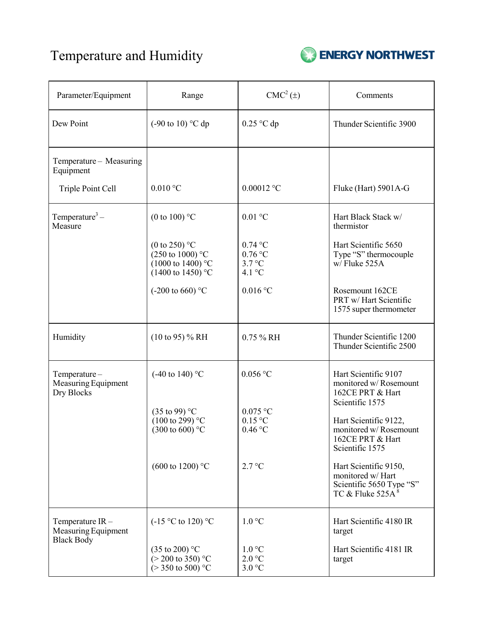## Temperature and Humidity



| Parameter/Equipment                                         | Range                                                                                                                  | $CMC2(\pm)$                                          | Comments                                                                                      |
|-------------------------------------------------------------|------------------------------------------------------------------------------------------------------------------------|------------------------------------------------------|-----------------------------------------------------------------------------------------------|
| Dew Point                                                   | $(-90 \text{ to } 10)$ °C dp                                                                                           | $0.25$ °C dp                                         | Thunder Scientific 3900                                                                       |
| Temperature - Measuring<br>Equipment                        |                                                                                                                        |                                                      |                                                                                               |
| Triple Point Cell                                           | $0.010\,^{\circ}\mathrm{C}$                                                                                            | $0.00012$ °C                                         | Fluke (Hart) 5901A-G                                                                          |
| Temperature <sup>3</sup> –<br>Measure                       | (0 to 100) $\degree$ C                                                                                                 | $0.01$ °C                                            | Hart Black Stack w/<br>thermistor                                                             |
|                                                             | (0 to 250) $^{\circ}$ C<br>$(250 \text{ to } 1000)$ °C<br>$(1000 \text{ to } 1400)$ °C<br>$(1400 \text{ to } 1450)$ °C | $0.74$ °C<br>$0.76$ °C<br>3.7 °C<br>4.1 $^{\circ}$ C | Hart Scientific 5650<br>Type "S" thermocouple<br>w/Fluke 525A                                 |
|                                                             | $(-200 \text{ to } 660)$ °C                                                                                            | $0.016$ °C                                           | Rosemount 162CE<br>PRT w/ Hart Scientific<br>1575 super thermometer                           |
| Humidity                                                    | $(10 \text{ to } 95)$ % RH                                                                                             | 0.75 % RH                                            | Thunder Scientific 1200<br>Thunder Scientific 2500                                            |
| Temperature-<br>Measuring Equipment<br>Dry Blocks           | $(-40 \text{ to } 140)$ °C                                                                                             | $0.056$ °C                                           | Hart Scientific 9107<br>monitored w/ Rosemount<br>162CE PRT & Hart<br>Scientific 1575         |
|                                                             | $(35 \text{ to } 99)$ °C<br>$(100 \text{ to } 299)$ °C<br>$(300 \text{ to } 600)$ °C                                   | $0.075$ °C<br>$0.15\text{ °C}$<br>$0.46$ °C          | Hart Scientific 9122,<br>monitored w/ Rosemount<br>162CE PRT & Hart<br>Scientific 1575        |
|                                                             | $(600 \text{ to } 1200)$ °C                                                                                            | 2.7 °C                                               | Hart Scientific 9150,<br>monitored w/ Hart<br>Scientific 5650 Type "S"<br>TC & Fluke $525A^8$ |
| Temperature IR-<br>Measuring Equipment<br><b>Black Body</b> | $(-15 °C)$ to 120) °C                                                                                                  | $1.0\degree C$                                       | Hart Scientific 4180 IR<br>target                                                             |
|                                                             | $(35 \text{ to } 200)$ °C<br>$(> 200 \text{ to } 350)$ °C<br>$(>350 \text{ to } 500)$ °C                               | 1.0 °C<br>2.0 °C<br>3.0 °C                           | Hart Scientific 4181 IR<br>target                                                             |